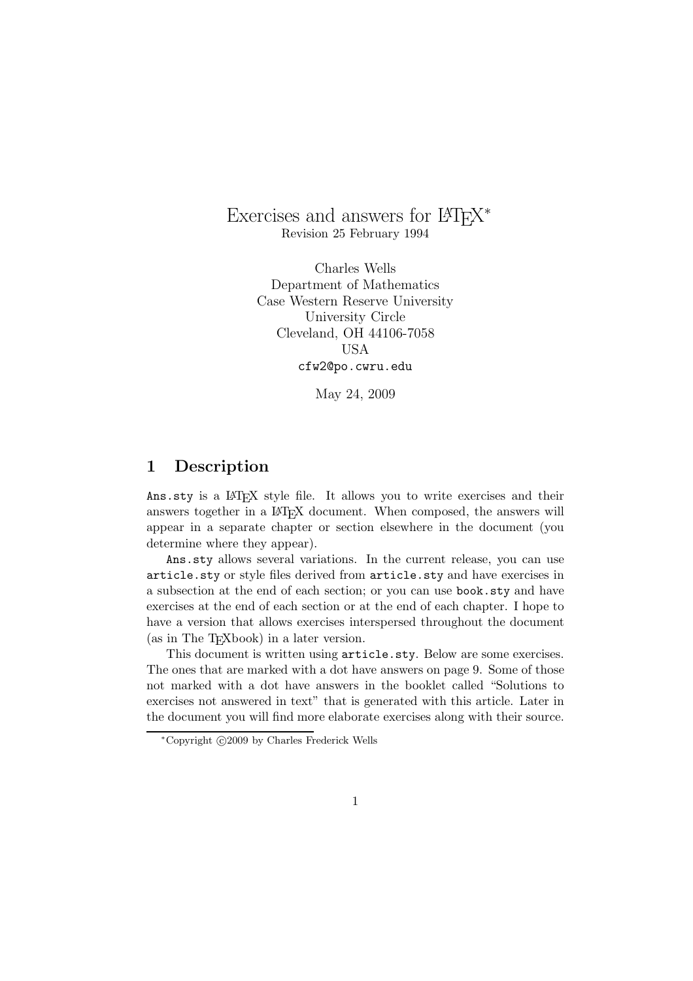## Exercises and answers for  $\mathbb{F} \mathbb{F} \mathbb{X}^*$ Revision 25 February 1994

Charles Wells Department of Mathematics Case Western Reserve University University Circle Cleveland, OH 44106-7058 USA cfw2@po.cwru.edu

May 24, 2009

## **1 Description**

Ans.sty is a LAT<sub>EX</sub> style file. It allows you to write exercises and their answers together in a LAT<sub>EX</sub> document. When composed, the answers will appear in a separate chapter or section elsewhere in the document (you determine where they appear).

Ans.sty allows several variations. In the current release, you can use article.sty or style files derived from article.sty and have exercises in a subsection at the end of each section; or you can use book.sty and have exercises at the end of each section or at the end of each chapter. I hope to have a version that allows exercises interspersed throughout the document (as in The TEXbook) in a later version.

This document is written using article.sty. Below are some exercises. The ones that are marked with a dot have answers on page 9. Some of those not marked with a dot have answers in the booklet called "Solutions to exercises not answered in text" that is generated with this article. Later in the document you will find more elaborate exercises along with their source.

 $^{\ast}$ Copyright  $\odot$  2009 by Charles Frederick Wells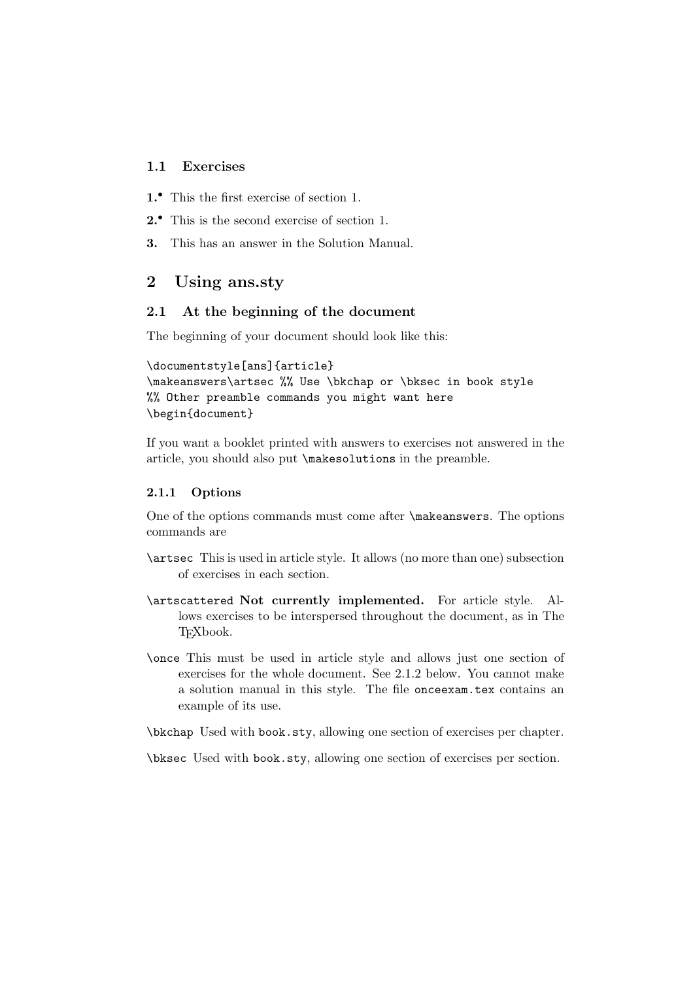## **1.1 Exercises**

- **1.***•* This the first exercise of section 1.
- **2.***•* This is the second exercise of section 1.
- **3.** This has an answer in the Solution Manual.

## **2 Using ans.sty**

## **2.1 At the beginning of the document**

The beginning of your document should look like this:

```
\documentstyle[ans]{article}
```

```
\makeanswers\artsec %% Use \bkchap or \bksec in book style
%% Other preamble commands you might want here
\begin{document}
```
If you want a booklet printed with answers to exercises not answered in the article, you should also put \makesolutions in the preamble.

### **2.1.1 Options**

One of the options commands must come after \makeanswers. The options commands are

- \artsec This is used in article style. It allows (no more than one) subsection of exercises in each section.
- \artscattered **Not currently implemented.** For article style. Allows exercises to be interspersed throughout the document, as in The T<sub>F</sub>Xbook.
- \once This must be used in article style and allows just one section of exercises for the whole document. See 2.1.2 below. You cannot make a solution manual in this style. The file onceexam.tex contains an example of its use.

\bkchap Used with book.sty, allowing one section of exercises per chapter.

\bksec Used with book.sty, allowing one section of exercises per section.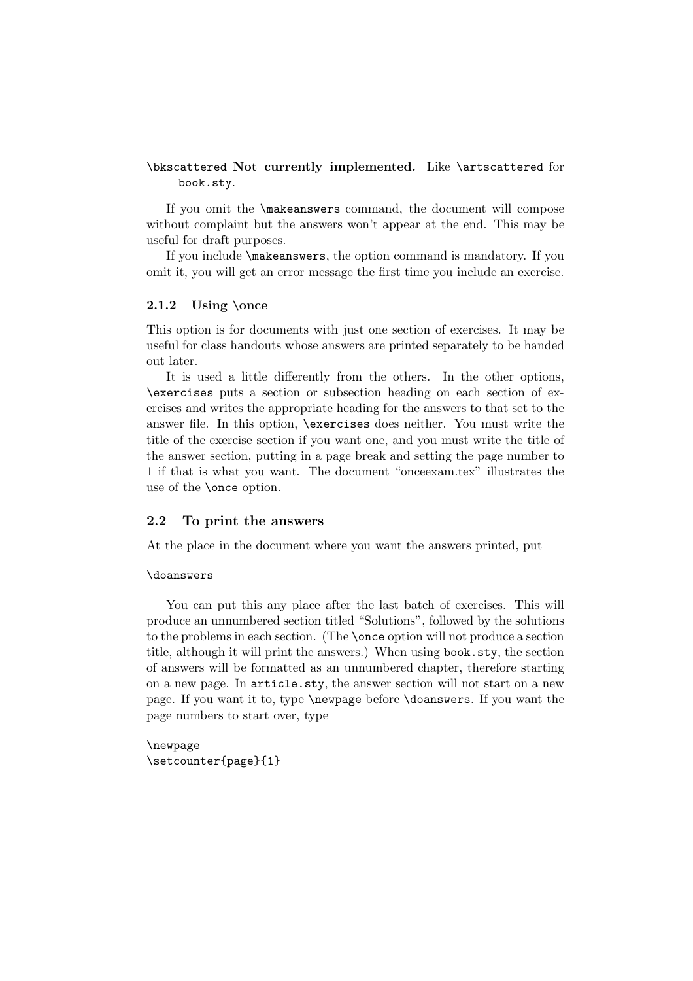## \bkscattered **Not currently implemented.** Like \artscattered for book.sty.

If you omit the \makeanswers command, the document will compose without complaint but the answers won't appear at the end. This may be useful for draft purposes.

If you include \makeanswers, the option command is mandatory. If you omit it, you will get an error message the first time you include an exercise.

### **2.1.2 Using** \**once**

This option is for documents with just one section of exercises. It may be useful for class handouts whose answers are printed separately to be handed out later.

It is used a little differently from the others. In the other options, \exercises puts a section or subsection heading on each section of exercises and writes the appropriate heading for the answers to that set to the answer file. In this option, \exercises does neither. You must write the title of the exercise section if you want one, and you must write the title of the answer section, putting in a page break and setting the page number to 1 if that is what you want. The document "onceexam.tex" illustrates the use of the \once option.

### **2.2 To print the answers**

At the place in the document where you want the answers printed, put

#### \doanswers

You can put this any place after the last batch of exercises. This will produce an unnumbered section titled "Solutions", followed by the solutions to the problems in each section. (The \once option will not produce a section title, although it will print the answers.) When using book.sty, the section of answers will be formatted as an unnumbered chapter, therefore starting on a new page. In article.sty, the answer section will not start on a new page. If you want it to, type \newpage before \doanswers. If you want the page numbers to start over, type

\newpage \setcounter{page}{1}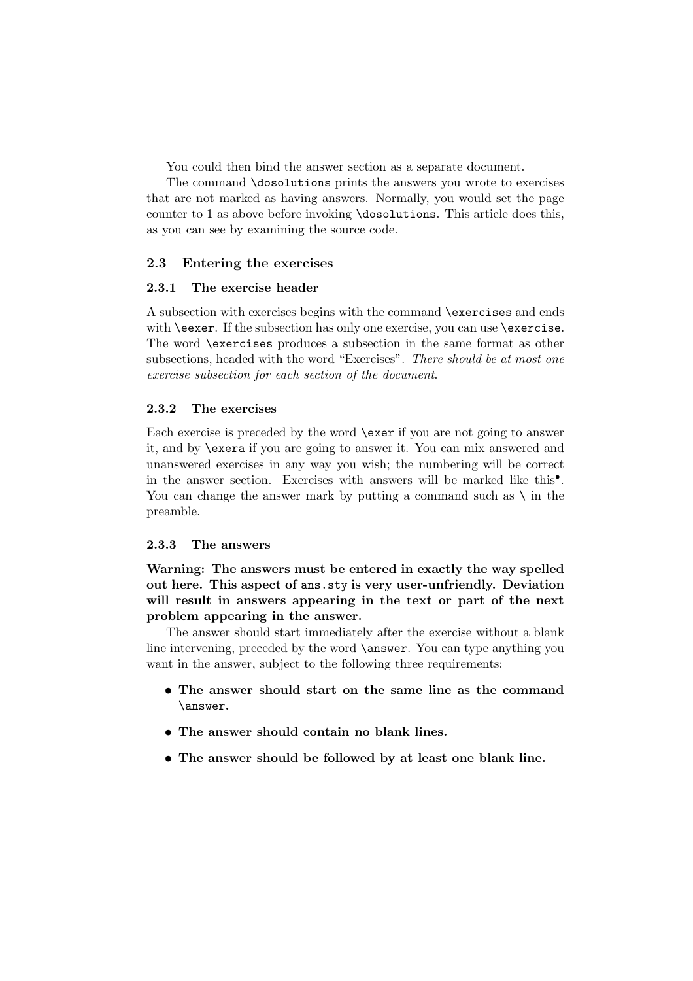You could then bind the answer section as a separate document.

The command \dosolutions prints the answers you wrote to exercises that are not marked as having answers. Normally, you would set the page counter to 1 as above before invoking \dosolutions. This article does this, as you can see by examining the source code.

### **2.3 Entering the exercises**

### **2.3.1 The exercise header**

A subsection with exercises begins with the command \exercises and ends with **\eexer**. If the subsection has only one exercise, you can use **\exercise**. The word \exercises produces a subsection in the same format as other subsections, headed with the word "Exercises". *There should be at most one exercise subsection for each section of the document*.

### **2.3.2 The exercises**

Each exercise is preceded by the word \exer if you are not going to answer it, and by \exera if you are going to answer it. You can mix answered and unanswered exercises in any way you wish; the numbering will be correct in the answer section. Exercises with answers will be marked like this*•*. You can change the answer mark by putting a command such as  $\setminus$  in the preamble.

#### **2.3.3 The answers**

**Warning: The answers must be entered in exactly the way spelled out here. This aspect of** ans.sty **is very user-unfriendly. Deviation will result in answers appearing in the text or part of the next problem appearing in the answer.**

The answer should start immediately after the exercise without a blank line intervening, preceded by the word **\answer**. You can type anything you want in the answer, subject to the following three requirements:

- *•* **The answer should start on the same line as the command** \answer**.**
- *•* **The answer should contain no blank lines.**
- *•* **The answer should be followed by at least one blank line.**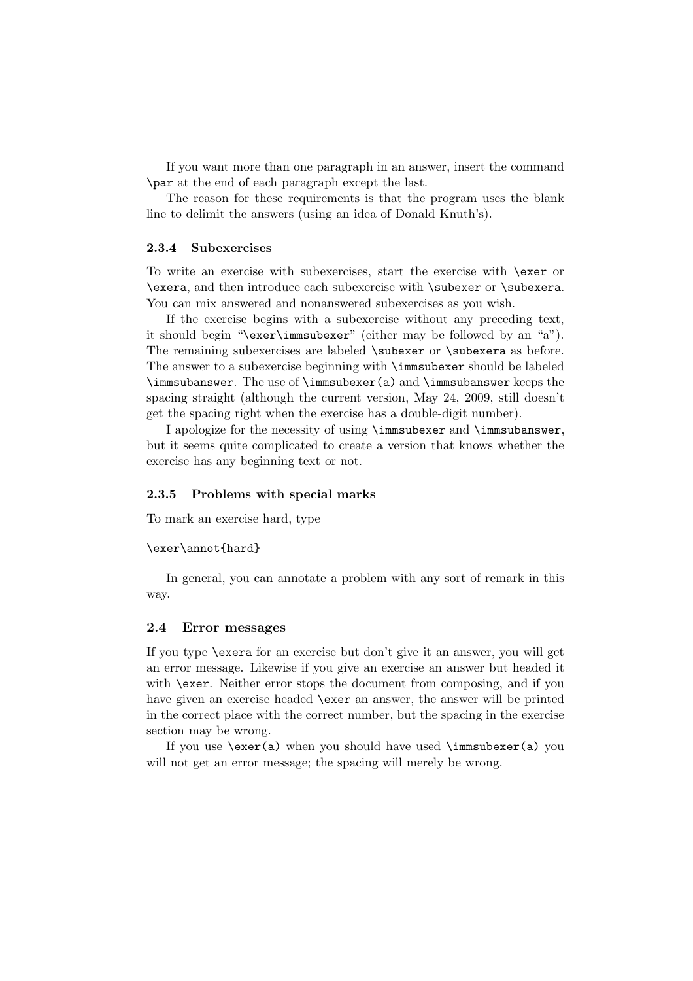If you want more than one paragraph in an answer, insert the command \par at the end of each paragraph except the last.

The reason for these requirements is that the program uses the blank line to delimit the answers (using an idea of Donald Knuth's).

#### **2.3.4 Subexercises**

To write an exercise with subexercises, start the exercise with \exer or \exera, and then introduce each subexercise with \subexer or \subexera. You can mix answered and nonanswered subexercises as you wish.

If the exercise begins with a subexercise without any preceding text, it should begin "\exer\immsubexer" (either may be followed by an "a"). The remaining subexercises are labeled \subexer or \subexera as before. The answer to a subexercise beginning with \immsubexer should be labeled \immsubanswer. The use of \immsubexer(a) and \immsubanswer keeps the spacing straight (although the current version, May 24, 2009, still doesn't get the spacing right when the exercise has a double-digit number).

I apologize for the necessity of using \immsubexer and \immsubanswer, but it seems quite complicated to create a version that knows whether the exercise has any beginning text or not.

#### **2.3.5 Problems with special marks**

To mark an exercise hard, type

#### \exer\annot{hard}

In general, you can annotate a problem with any sort of remark in this way.

#### **2.4 Error messages**

If you type \exera for an exercise but don't give it an answer, you will get an error message. Likewise if you give an exercise an answer but headed it with **\exer.** Neither error stops the document from composing, and if you have given an exercise headed \exer an answer, the answer will be printed in the correct place with the correct number, but the spacing in the exercise section may be wrong.

If you use  $\text{a}$  when you should have used  $\imath$  musubexer(a) you will not get an error message; the spacing will merely be wrong.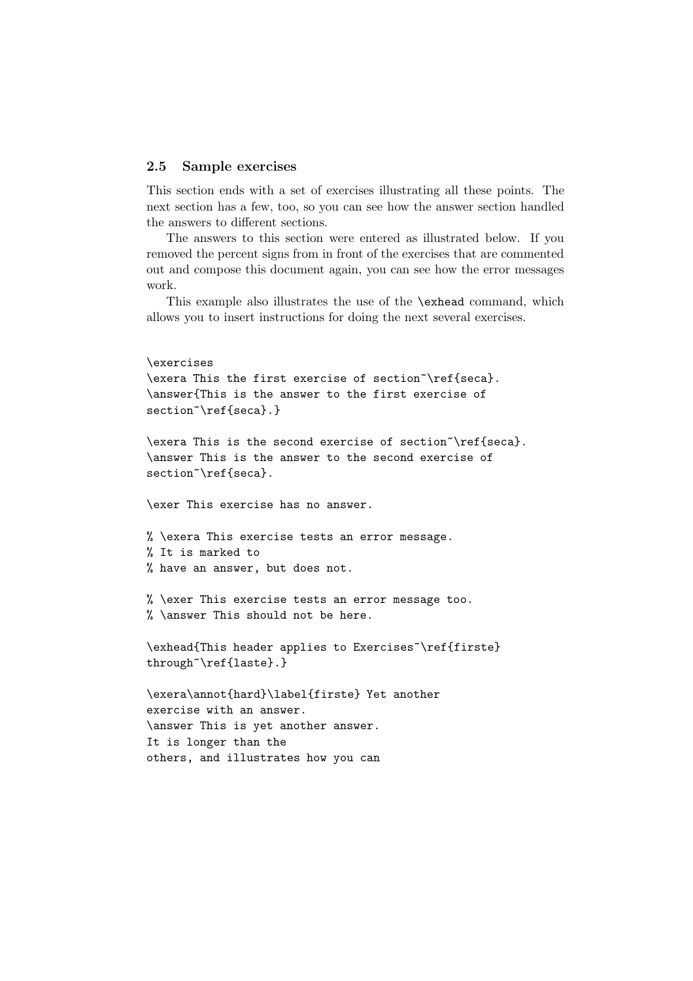#### **2.5 Sample exercises**

This section ends with a set of exercises illustrating all these points. The next section has a few, too, so you can see how the answer section handled the answers to different sections.

The answers to this section were entered as illustrated below. If you removed the percent signs from in front of the exercises that are commented out and compose this document again, you can see how the error messages work.

This example also illustrates the use of the \exhead command, which allows you to insert instructions for doing the next several exercises.

```
\exercises
\exera This the first exercise of section~\ref{seca}.
\answer{This is the answer to the first exercise of
section~\ref{seca}.}
\exera This is the second exercise of section~\ref{seca}.
\answer This is the answer to the second exercise of
section~\ref{seca}.
\exer This exercise has no answer.
% \exera This exercise tests an error message.
% It is marked to
% have an answer, but does not.
% \exer This exercise tests an error message too.
% \answer This should not be here.
\exhead{This header applies to Exercises~\ref{firste}
through~\ref{laste}.}
\exera\annot{hard}\label{firste} Yet another
exercise with an answer.
\answer This is yet another answer.
It is longer than the
others, and illustrates how you can
```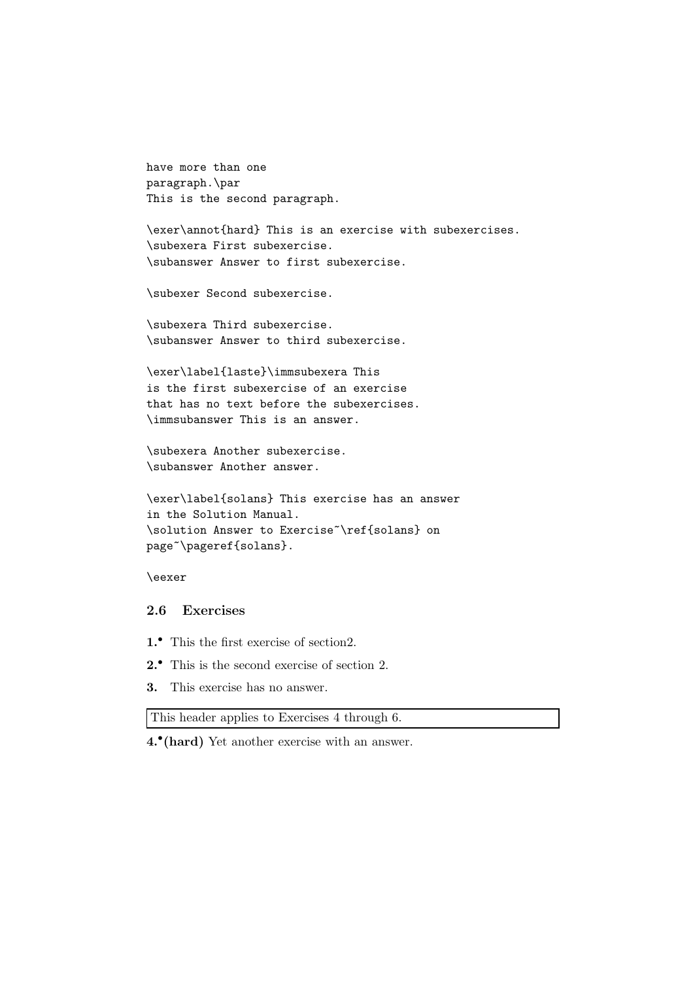have more than one paragraph.\par This is the second paragraph.

\exer\annot{hard} This is an exercise with subexercises. \subexera First subexercise. \subanswer Answer to first subexercise.

\subexer Second subexercise.

\subexera Third subexercise. \subanswer Answer to third subexercise.

\exer\label{laste}\immsubexera This is the first subexercise of an exercise that has no text before the subexercises. \immsubanswer This is an answer.

\subexera Another subexercise. \subanswer Another answer.

```
\exer\label{solans} This exercise has an answer
in the Solution Manual.
\solution Answer to Exercise~\ref{solans} on
page~\pageref{solans}.
```
\eexer

## **2.6 Exercises**

- **1.***•* This the first exercise of section2.
- **2.***•* This is the second exercise of section 2.
- **3.** This exercise has no answer.

This header applies to Exercises 4 through 6.

**4.***•***(hard)** Yet another exercise with an answer.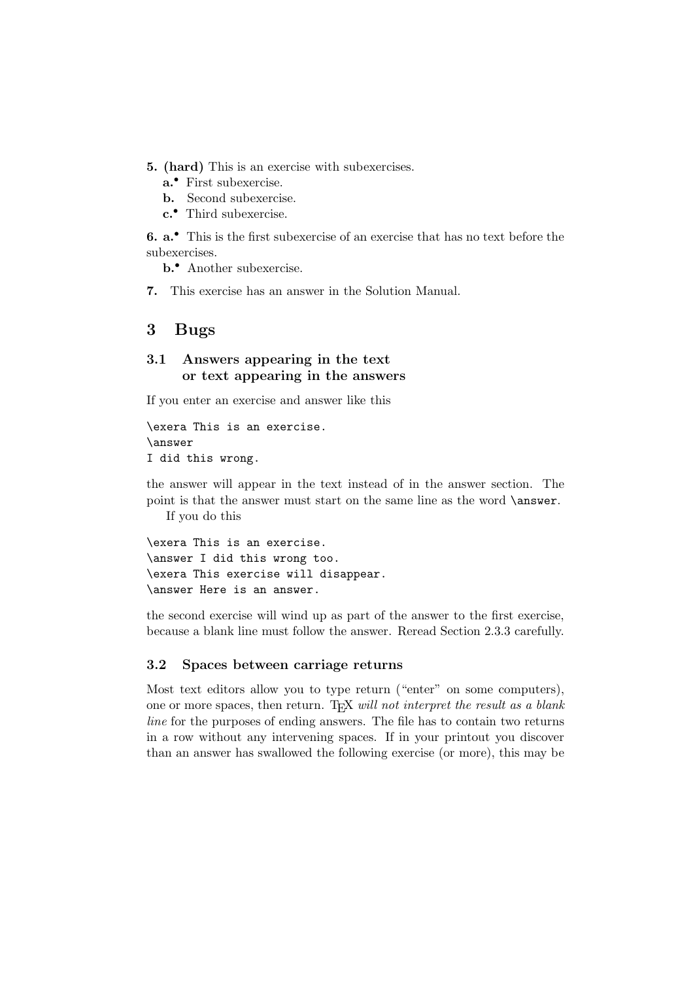- **5. (hard)** This is an exercise with subexercises.
	- **a.***•* First subexercise.
	- **b.** Second subexercise.
	- **c.***•* Third subexercise.

**6. a.***•* This is the first subexercise of an exercise that has no text before the subexercises.

**b.***•* Another subexercise.

**7.** This exercise has an answer in the Solution Manual.

## **3 Bugs**

## **3.1 Answers appearing in the text or text appearing in the answers**

If you enter an exercise and answer like this

\exera This is an exercise. \answer I did this wrong.

the answer will appear in the text instead of in the answer section. The point is that the answer must start on the same line as the word \answer. If you do this

\exera This is an exercise. \answer I did this wrong too. \exera This exercise will disappear. \answer Here is an answer.

the second exercise will wind up as part of the answer to the first exercise, because a blank line must follow the answer. Reread Section 2.3.3 carefully.

### **3.2 Spaces between carriage returns**

Most text editors allow you to type return ("enter" on some computers), one or more spaces, then return. TEX *will not interpret the result as a blank line* for the purposes of ending answers. The file has to contain two returns in a row without any intervening spaces. If in your printout you discover than an answer has swallowed the following exercise (or more), this may be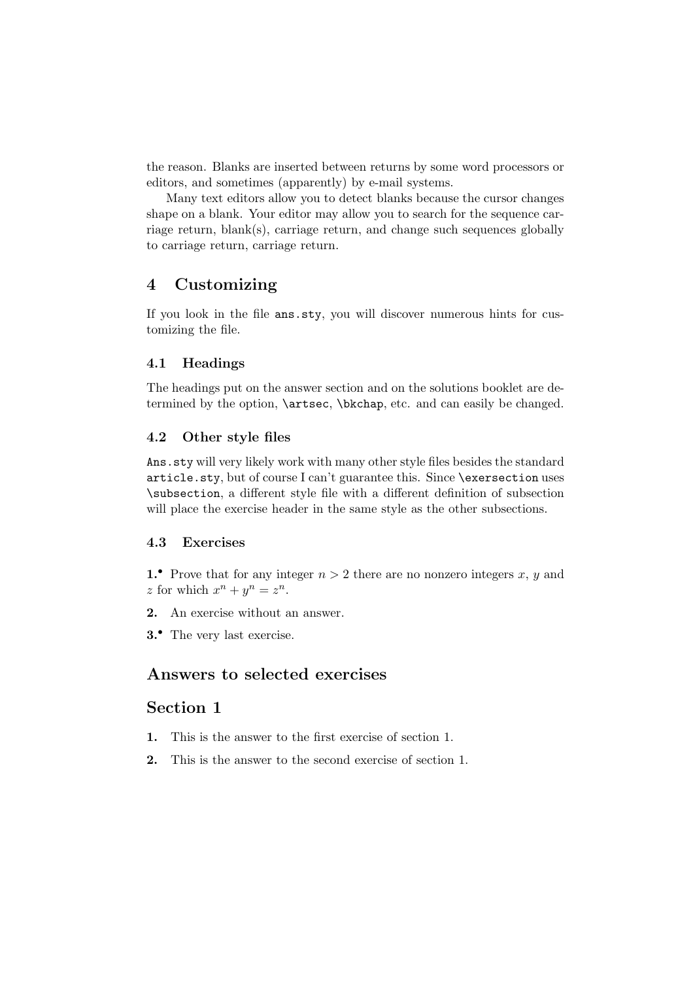the reason. Blanks are inserted between returns by some word processors or editors, and sometimes (apparently) by e-mail systems.

Many text editors allow you to detect blanks because the cursor changes shape on a blank. Your editor may allow you to search for the sequence carriage return, blank(s), carriage return, and change such sequences globally to carriage return, carriage return.

## **4 Customizing**

If you look in the file ans.sty, you will discover numerous hints for customizing the file.

### **4.1 Headings**

The headings put on the answer section and on the solutions booklet are determined by the option, \artsec, \bkchap, etc. and can easily be changed.

### **4.2 Other style files**

Ans.sty will very likely work with many other style files besides the standard article.sty, but of course I can't guarantee this. Since \exersection uses \subsection, a different style file with a different definition of subsection will place the exercise header in the same style as the other subsections.

## **4.3 Exercises**

**1.** Prove that for any integer  $n > 2$  there are no nonzero integers x, y and  $z$  for which  $x^n + y^n = z^n$ .

- **2.** An exercise without an answer.
- **3.***•* The very last exercise.

## **Answers to selected exercises**

## **Section 1**

- **1.** This is the answer to the first exercise of section 1.
- **2.** This is the answer to the second exercise of section 1.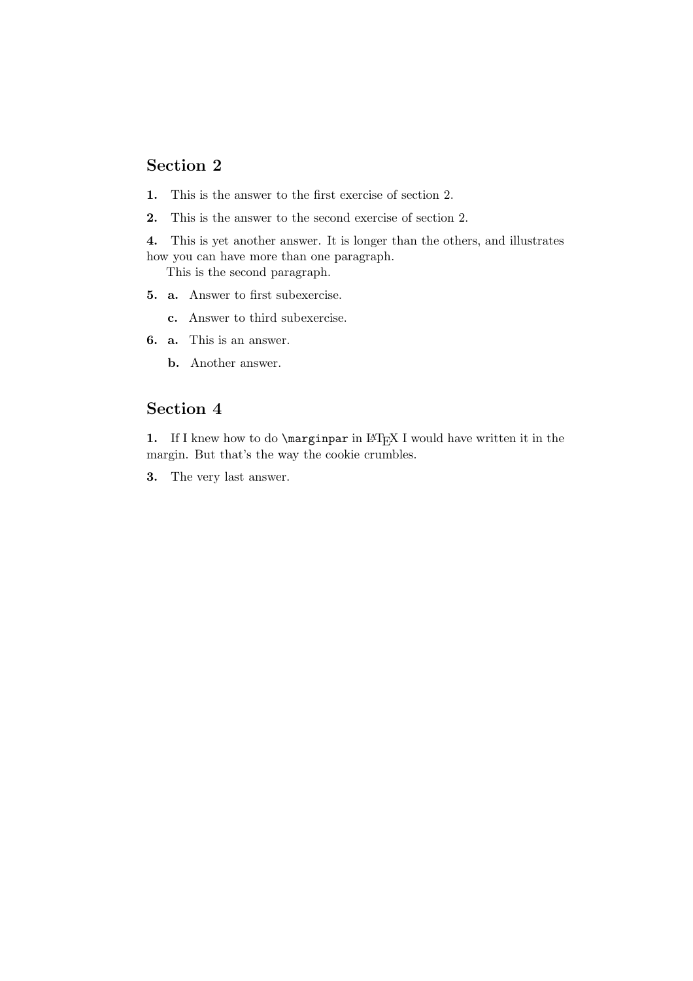## **Section 2**

- **1.** This is the answer to the first exercise of section 2.
- **2.** This is the answer to the second exercise of section 2.
- **4.** This is yet another answer. It is longer than the others, and illustrates how you can have more than one paragraph.

This is the second paragraph.

- **5. a.** Answer to first subexercise.
	- **c.** Answer to third subexercise.
- **6. a.** This is an answer.
	- **b.** Another answer.

## **Section 4**

**1.** If I knew how to do \marginpar in LAT<sub>E</sub>X I would have written it in the margin. But that's the way the cookie crumbles.

**3.** The very last answer.